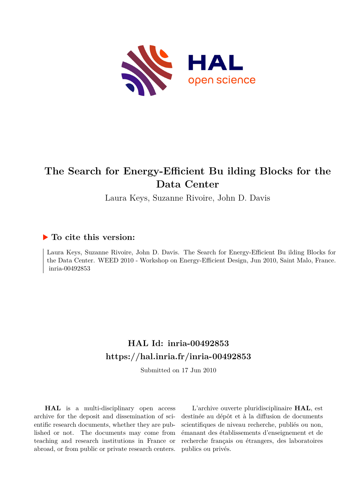

# **The Search for Energy-Efficient Bu ilding Blocks for the Data Center**

Laura Keys, Suzanne Rivoire, John D. Davis

# **To cite this version:**

Laura Keys, Suzanne Rivoire, John D. Davis. The Search for Energy-Efficient Bu ilding Blocks for the Data Center. WEED 2010 - Workshop on Energy-Efficient Design, Jun 2010, Saint Malo, France. inria-00492853

# **HAL Id: inria-00492853 <https://hal.inria.fr/inria-00492853>**

Submitted on 17 Jun 2010

**HAL** is a multi-disciplinary open access archive for the deposit and dissemination of scientific research documents, whether they are published or not. The documents may come from teaching and research institutions in France or abroad, or from public or private research centers.

L'archive ouverte pluridisciplinaire **HAL**, est destinée au dépôt et à la diffusion de documents scientifiques de niveau recherche, publiés ou non, émanant des établissements d'enseignement et de recherche français ou étrangers, des laboratoires publics ou privés.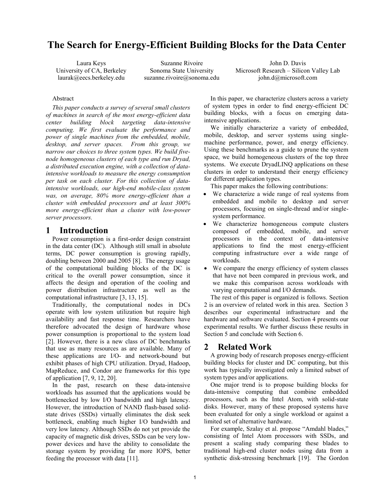# **The Search for Energy-Efficient Building Blocks for the Data Center**

Laura Keys University of CA, Berkeley laurak@eecs.berkeley.edu

Suzanne Rivoire Sonoma State University suzanne.rivoire@sonoma.edu

John D. Davis Microsoft Research – Silicon Valley Lab john.d@microsoft.com

#### Abstract

*This paper conducts a survey of several small clusters of machines in search of the most energy-efficient data center building block targeting data-intensive computing. We first evaluate the performance and power of single machines from the embedded, mobile, desktop, and server spaces. From this group, we narrow our choices to three system types. We build fivenode homogeneous clusters of each type and run Dryad, a distributed execution engine, with a collection of dataintensive workloads to measure the energy consumption per task on each cluster. For this collection of dataintensive workloads, our high-end mobile-class system was, on average, 80% more energy-efficient than a cluster with embedded processors and at least 300% more energy-efficient than a cluster with low-power server processors.* 

# **1 Introduction**

Power consumption is a first-order design constraint in the data center (DC). Although still small in absolute terms, DC power consumption is growing rapidly, doubling between 2000 and 2005 [8]. The energy usage of the computational building blocks of the DC is critical to the overall power consumption, since it affects the design and operation of the cooling and power distribution infrastructure as well as the computational infrastructure [3, 13, 15].

Traditionally, the computational nodes in DCs operate with low system utilization but require high availability and fast response time. Researchers have therefore advocated the design of hardware whose power consumption is proportional to the system load [2]. However, there is a new class of DC benchmarks that use as many resources as are available. Many of these applications are I/O- and network-bound but exhibit phases of high CPU utilization. Dryad, Hadoop, MapReduce, and Condor are frameworks for this type of application [7, 9, 12, 20].

In the past, research on these data-intensive workloads has assumed that the applications would be bottlenecked by low I/O bandwidth and high latency. However, the introduction of NAND flash-based solidstate drives (SSDs) virtually eliminates the disk seek bottleneck, enabling much higher I/O bandwidth and very low latency. Although SSDs do not yet provide the capacity of magnetic disk drives, SSDs can be very lowpower devices and have the ability to consolidate the storage system by providing far more IOPS, better feeding the processor with data [11].

In this paper, we characterize clusters across a variety of system types in order to find energy-efficient DC building blocks, with a focus on emerging dataintensive applications.

We initially characterize a variety of embedded, mobile, desktop, and server systems using singlemachine performance, power, and energy efficiency. Using these benchmarks as a guide to prune the system space, we build homogeneous clusters of the top three systems. We execute DryadLINQ applications on these clusters in order to understand their energy efficiency for different application types.

This paper makes the following contributions:

- We characterize a wide range of real systems from embedded and mobile to desktop and server processors, focusing on single-thread and/or singlesystem performance.
- We characterize homogeneous compute clusters composed of embedded, mobile, and server processors in the context of data-intensive applications to find the most energy-efficient computing infrastructure over a wide range of workloads.
- We compare the energy efficiency of system classes that have not been compared in previous work, and we make this comparison across workloads with varying computational and I/O demands.

The rest of this paper is organized is follows. Section 2 is an overview of related work in this area. Section 3 describes our experimental infrastructure and the hardware and software evaluated. Section 4 presents our experimental results. We further discuss these results in Section 5 and conclude with Section 6.

## **2 Related Work**

A growing body of research proposes energy-efficient building blocks for cluster and DC computing, but this work has typically investigated only a limited subset of system types and/or applications.

One major trend is to propose building blocks for data-intensive computing that combine embedded processors, such as the Intel Atom, with solid-state disks. However, many of these proposed systems have been evaluated for only a single workload or against a limited set of alternative hardware.

For example, Szalay et al. propose "Amdahl blades," consisting of Intel Atom processors with SSDs, and present a scaling study comparing these blades to traditional high-end cluster nodes using data from a synthetic disk-stressing benchmark [19]. The Gordon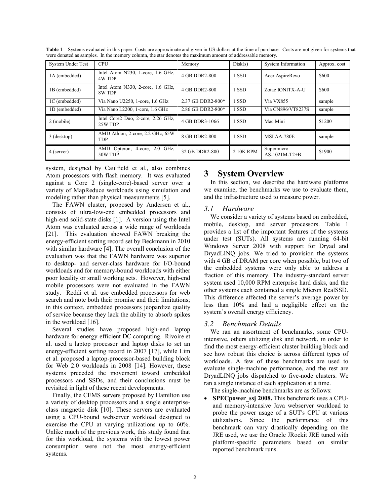| <b>System Under Test</b> | <b>CPU</b>                                     | Memory            | Disk(s)   | System Information            | Approx. cost |
|--------------------------|------------------------------------------------|-------------------|-----------|-------------------------------|--------------|
| 1A (embedded)            | Intel Atom N230, 1-core, 1.6 GHz,<br>4W TDP    | 4 GB DDR2-800     | 1 SSD     | Acer AspireRevo               | \$600        |
| 1B (embedded)            | Intel Atom N330, 2-core, 1.6 GHz,<br>8W TDP    | 4 GB DDR2-800     | 1 SSD     | Zotac IONITX-A-U              | \$600        |
| 1C (embedded)            | Via Nano U2250, 1-core, 1.6 GHz                | 2.37 GB DDR2-800* | 1 SSD     | Via VX855                     | sample       |
| 1D (embedded)            | Via Nano L2200, 1-core, 1.6 GHz                | 2.86 GB DDR2-800* | 1 SSD     | Via CN896/VT8237S             | sample       |
| 2 (mobile)               | Intel Core2 Duo, 2-core, 2.26 GHz,<br>25W TDP  | 4 GB DDR3-1066    | 1 SSD     | Mac Mini                      | \$1200       |
| 3 (desktop)              | AMD Athlon, 2-core, 2.2 GHz, 65W<br><b>TDP</b> | 8 GB DDR2-800     | 1 SSD     | MSI AA-780E                   | sample       |
| 4 (server)               | AMD Opteron, 4-core, 2.0 GHz,<br>50W TDP       | 32 GB DDR2-800    | 2 10K RPM | Supermicro<br>$AS-1021M-T2+B$ | \$1900       |

**Table 1** – Systems evaluated in this paper. Costs are approximate and given in US dollars at the time of purchase. Costs are not given for systems that were donated as samples. In the memory column, the star denotes the maximum amount of addressable memory.

system, designed by Caulfield et al., also combines Atom processors with flash memory. It was evaluated against a Core 2 (single-core)-based server over a variety of MapReduce workloads using simulation and modeling rather than physical measurements [5].

The FAWN cluster, proposed by Andersen et al., consists of ultra-low-end embedded processors and high-end solid-state disks [1]. A version using the Intel Atom was evaluated across a wide range of workloads [21]. This evaluation showed FAWN breaking the energy-efficient sorting record set by Beckmann in 2010 with similar hardware [4]. The overall conclusion of the evaluation was that the FAWN hardware was superior to desktop- and server-class hardware for I/O-bound workloads and for memory-bound workloads with either poor locality or small working sets. However, high-end mobile processors were not evaluated in the FAWN study. Reddi et al. use embedded processors for web search and note both their promise and their limitations; in this context, embedded processors jeopardize quality of service because they lack the ability to absorb spikes in the workload [16].

Several studies have proposed high-end laptop hardware for energy-efficient DC computing. Rivoire et al. used a laptop processor and laptop disks to set an energy-efficient sorting record in 2007 [17], while Lim et al. proposed a laptop-processor-based building block for Web 2.0 workloads in 2008 [14]. However, these systems preceded the movement toward embedded processors and SSDs, and their conclusions must be revisited in light of these recent developments.

Finally, the CEMS servers proposed by Hamilton use a variety of desktop processors and a single enterpriseclass magnetic disk [10]. These servers are evaluated using a CPU-bound webserver workload designed to exercise the CPU at varying utilizations up to 60%. Unlike much of the previous work, this study found that for this workload, the systems with the lowest power consumption were not the most energy-efficient systems.

# **3 System Overview**

In this section, we describe the hardware platforms we examine, the benchmarks we use to evaluate them, and the infrastructure used to measure power.

## *3.1 Hardware*

We consider a variety of systems based on embedded, mobile, desktop, and server processors. Table 1 provides a list of the important features of the systems under test (SUTs). All systems are running 64-bit Windows Server 2008 with support for Dryad and DryadLINQ jobs. We tried to provision the systems with 4 GB of DRAM per core when possible, but two of the embedded systems were only able to address a fraction of this memory. The industry-standard server system used 10,000 RPM enterprise hard disks, and the other systems each contained a single Micron RealSSD. This difference affected the server's average power by less than 10% and had a negligible effect on the system's overall energy efficiency.

## *3.2 Benchmark Details*

We ran an assortment of benchmarks, some CPUintensive, others utilizing disk and network, in order to find the most energy-efficient cluster building block and see how robust this choice is across different types of workloads. A few of these benchmarks are used to evaluate single-machine performance, and the rest are DryadLINQ jobs dispatched to five-node clusters. We ran a single instance of each application at a time.

The single-machine benchmarks are as follows:

**SPECpower** ssj 2008. This benchmark uses a CPUand memory-intensive Java webserver workload to probe the power usage of a SUT's CPU at various utilizations. Since the performance of this benchmark can vary drastically depending on the JRE used, we use the Oracle JRockit JRE tuned with platform-specific parameters based on similar reported benchmark runs.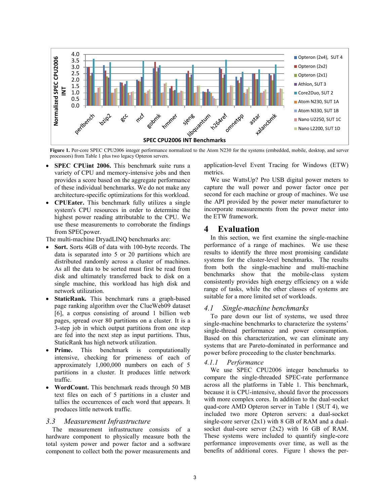

**Figure 1.** Per-core SPEC CPU2006 integer performance normalized to the Atom N230 for the systems (embedded, mobile, desktop, and server processors) from Table 1 plus two legacy Opteron servers.

- **SPEC CPUint 2006.** This benchmark suite runs a variety of CPU and memory-intensive jobs and then provides a score based on the aggregate performance of these individual benchmarks. We do not make any architecture-specific optimizations for this workload.
- **CPUEater.** This benchmark fully utilizes a single system's CPU resources in order to determine the highest power reading attributable to the CPU. We use these measurements to corroborate the findings from SPECpower.

The multi-machine DryadLINQ benchmarks are:

- **Sort.** Sorts 4GB of data with 100-byte records. The data is separated into 5 or 20 partitions which are distributed randomly across a cluster of machines. As all the data to be sorted must first be read from disk and ultimately transferred back to disk on a single machine, this workload has high disk and network utilization.
- **StaticRank.** This benchmark runs a graph-based page ranking algorithm over the ClueWeb09 dataset [6], a corpus consisting of around 1 billion web pages, spread over 80 partitions on a cluster. It is a 3-step job in which output partitions from one step are fed into the next step as input partitions. Thus, StaticRank has high network utilization.
- **Prime.** This benchmark is computationally intensive, checking for primeness of each of approximately 1,000,000 numbers on each of 5 partitions in a cluster. It produces little network traffic.
- **WordCount.** This benchmark reads through 50 MB text files on each of 5 partitions in a cluster and tallies the occurrences of each word that appears. It produces little network traffic.

#### *3.3 Measurement Infrastructure*

The measurement infrastructure consists of a hardware component to physically measure both the total system power and power factor and a software component to collect both the power measurements and application-level Event Tracing for Windows (ETW) metrics.

We use WattsUp? Pro USB digital power meters to capture the wall power and power factor once per second for each machine or group of machines. We use the API provided by the power meter manufacturer to incorporate measurements from the power meter into the ETW framework.

## **4 Evaluation**

In this section, we first examine the single-machine performance of a range of machines. We use these results to identify the three most promising candidate systems for the cluster-level benchmarks. The results from both the single-machine and multi-machine benchmarks show that the mobile-class system consistently provides high energy efficiency on a wide range of tasks, while the other classes of systems are suitable for a more limited set of workloads.

#### *4.1 Single-machine benchmarks*

To pare down our list of systems, we used three single-machine benchmarks to characterize the systems' single-thread performance and power consumption. Based on this characterization, we can eliminate any systems that are Pareto-dominated in performance and power before proceeding to the cluster benchmarks.

#### *4.1.1 Performance*

We use SPEC CPU2006 integer benchmarks to compare the single-threaded SPEC-rate performance across all the platforms in Table 1. This benchmark, because it is CPU-intensive, should favor the processors with more complex cores. In addition to the dual-socket quad-core AMD Opteron server in Table 1 (SUT 4), we included two more Opteron servers: a dual-socket single-core server  $(2x1)$  with 8 GB of RAM and a dualsocket dual-core server  $(2x2)$  with 16 GB of RAM. These systems were included to quantify single-core performance improvements over time, as well as the benefits of additional cores. Figure 1 shows the per-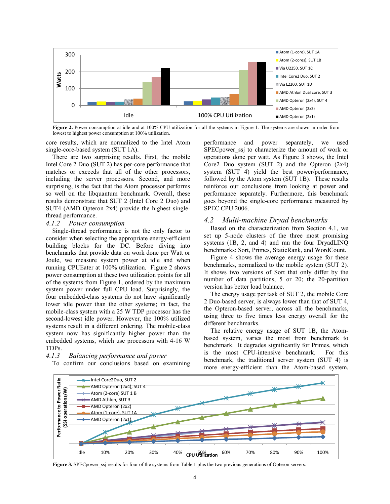

**Figure 2.** Power consumption at idle and at 100% CPU utilization for all the systems in Figure 1. The systems are shown in order from lowest to highest power consumption at 100% utilization.

core results, which are normalized to the Intel Atom single-core-based system (SUT 1A).

There are two surprising results. First, the mobile Intel Core 2 Duo (SUT 2) has per-core performance that matches or exceeds that all of the other processors, including the server processors. Second, and more surprising, is the fact that the Atom processor performs so well on the libquantum benchmark. Overall, these results demonstrate that SUT 2 (Intel Core 2 Duo) and SUT4 (AMD Opteron 2x4) provide the highest singlethread performance.

#### *4.1.2 Power consumption*

Single-thread performance is not the only factor to consider when selecting the appropriate energy-efficient building blocks for the DC. Before diving into benchmarks that provide data on work done per Watt or Joule, we measure system power at idle and when running CPUEater at 100% utilization. Figure 2 shows power consumption at these two utilization points for all of the systems from Figure 1, ordered by the maximum system power under full CPU load. Surprisingly, the four embedded-class systems do not have significantly lower idle power than the other systems; in fact, the mobile-class system with a 25 W TDP processor has the second-lowest idle power. However, the 100% utilized systems result in a different ordering. The mobile-class system now has significantly higher power than the embedded systems, which use processors with 4-16 W TDPs.

#### *4.1.3 Balancing performance and power*

To confirm our conclusions based on examining

performance and power separately, we used SPEC power ssj to characterize the amount of work or operations done per watt. As Figure 3 shows, the Intel Core2 Duo system (SUT 2) and the Opteron (2x4) system (SUT 4) yield the best power/performance, followed by the Atom system (SUT 1B). These results reinforce our conclusions from looking at power and performance separately. Furthermore, this benchmark goes beyond the single-core performance measured by SPEC CPU 2006.

#### *4.2 Multi-machine Dryad benchmarks*

Based on the characterization from Section 4.1, we set up 5-node clusters of the three most promising systems (1B, 2, and 4) and ran the four DryadLINQ benchmarks: Sort, Primes, StaticRank, and WordCount.

Figure 4 shows the average energy usage for these benchmarks, normalized to the mobile system (SUT 2). It shows two versions of Sort that only differ by the number of data partitions, 5 or 20; the 20-partition version has better load balance.

The energy usage per task of SUT 2, the mobile Core 2 Duo-based server, is always lower than that of SUT 4, the Opteron-based server, across all the benchmarks, using three to five times less energy overall for the different benchmarks.

The relative energy usage of SUT 1B, the Atombased system, varies the most from benchmark to benchmark. It degrades significantly for Primes, which is the most CPU-intensive benchmark. For this benchmark, the traditional server system (SUT 4) is more energy-efficient than the Atom-based system.



**Figure 3.** SPEC power ssj results for four of the systems from Table 1 plus the two previous generations of Opteron servers.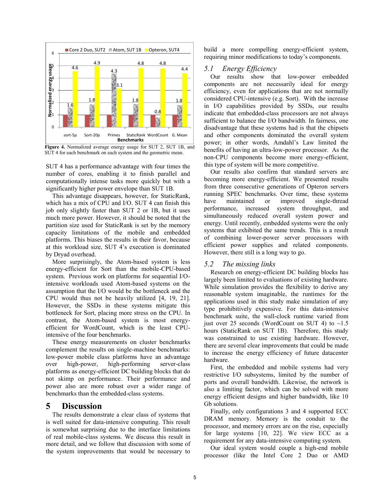

**Figure 4.** Normalized average energy usage for SUT 2, SUT 1B, and SUT 4 for each benchmark on each system and the geometric mean.

SUT 4 has a performance advantage with four times the number of cores, enabling it to finish parallel and computationally intense tasks more quickly but with a significantly higher power envelope than SUT 1B.

This advantage disappears, however, for StaticRank, which has a mix of CPU and I/O. SUT 4 can finish this job only slightly faster than SUT 2 or 1B, but it uses much more power. However, it should be noted that the partition size used for StaticRank is set by the memory capacity limitations of the mobile and embedded platforms. This biases the results in their favor, because at this workload size, SUT 4's execution is dominated by Dryad overhead.

More surprisingly, the Atom-based system is less energy-efficient for Sort than the mobile-CPU-based system. Previous work on platforms for sequential I/Ointensive workloads used Atom-based systems on the assumption that the I/O would be the bottleneck and the CPU would thus not be heavily utilized [4, 19, 21]. However, the SSDs in these systems mitigate this bottleneck for Sort, placing more stress on the CPU. In contrast, the Atom-based system is most energyefficient for WordCount, which is the least CPUintensive of the four benchmarks.

These energy measurements on cluster benchmarks complement the results on single-machine benchmarks: low-power mobile class platforms have an advantage over high-power, high-performing server-class platforms as energy-efficient DC building blocks that do not skimp on performance. Their performance and power also are more robust over a wider range of benchmarks than the embedded-class systems.

## **5 Discussion**

The results demonstrate a clear class of systems that is well suited for data-intensive computing. This result is somewhat surprising due to the interface limitations of real mobile-class systems. We discuss this result in more detail, and we follow that discussion with some of the system improvements that would be necessary to

build a more compelling energy-efficient system, requiring minor modifications to today's components.

#### *5.1 Energy Efficiency*

Our results show that low-power embedded components are not necessarily ideal for energy efficiency, even for applications that are not normally considered CPU-intensive (e.g. Sort). With the increase in I/O capabilities provided by SSDs, our results indicate that embedded-class processors are not always sufficient to balance the I/O bandwidth. In fairness, one disadvantage that these systems had is that the chipsets and other components dominated the overall system power; in other words, Amdahl's Law limited the benefits of having an ultra-low-power processor. As the non-CPU components become more energy-efficient, this type of system will be more competitive.

Our results also confirm that standard servers are becoming more energy-efficient. We presented results from three consecutive generations of Opteron servers running SPEC benchmarks. Over time, these systems have maintained or improved single-thread performance, increased system throughput, and simultaneously reduced overall system power and energy. Until recently, embedded systems were the only systems that exhibited the same trends. This is a result of combining lower-power server processors with efficient power supplies and related components. However, there still is a long way to go.

#### *5.2 The missing links*

Research on energy-efficient DC building blocks has largely been limited to evaluations of existing hardware. While simulation provides the flexibility to derive any reasonable system imaginable, the runtimes for the applications used in this study make simulation of any type prohibitively expensive. For this data-intensive benchmark suite, the wall-clock runtime varied from just over 25 seconds (WordCount on SUT 4) to  $\sim$ 1.5 hours (StaticRank on SUT 1B). Therefore, this study was constrained to use existing hardware. However, there are several clear improvements that could be made to increase the energy efficiency of future datacenter hardware.

First, the embedded and mobile systems had very restrictive I/O subsystems, limited by the number of ports and overall bandwidth. Likewise, the network is also a limiting factor, which can be solved with more energy efficient designs and higher bandwidth, like 10 Gb solutions.

Finally, only configurations 3 and 4 supported ECC DRAM memory. Memory is the conduit to the processor, and memory errors are on the rise, especially for large systems [10, 22]. We view ECC as a requirement for any data-intensive computing system.

Our ideal system would couple a high-end mobile processor (like the Intel Core 2 Duo or AMD